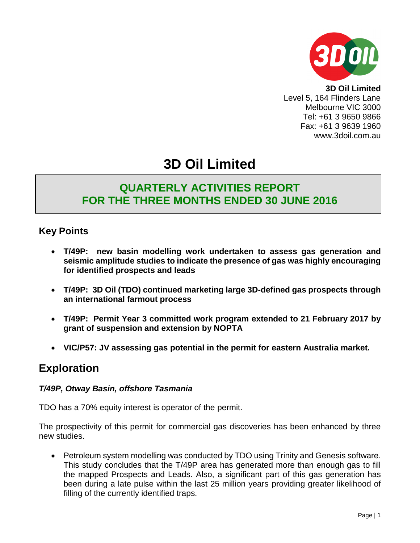

**3D Oil Limited** Level 5, 164 Flinders Lane Melbourne VIC 3000 Tel: +61 3 9650 9866 Fax: +61 3 9639 1960 www.3doil.com.au

# **3D Oil Limited**

# **QUARTERLY ACTIVITIES REPORT FOR THE THREE MONTHS ENDED 30 JUNE 2016**

### **Key Points**

- **T/49P: new basin modelling work undertaken to assess gas generation and seismic amplitude studies to indicate the presence of gas was highly encouraging for identified prospects and leads**
- **T/49P: 3D Oil (TDO) continued marketing large 3D-defined gas prospects through an international farmout process**
- **T/49P: Permit Year 3 committed work program extended to 21 February 2017 by grant of suspension and extension by NOPTA**
- **VIC/P57: JV assessing gas potential in the permit for eastern Australia market.**

## **Exploration**

### *T/49P, Otway Basin, offshore Tasmania*

TDO has a 70% equity interest is operator of the permit.

The prospectivity of this permit for commercial gas discoveries has been enhanced by three new studies.

 Petroleum system modelling was conducted by TDO using Trinity and Genesis software. This study concludes that the T/49P area has generated more than enough gas to fill the mapped Prospects and Leads. Also, a significant part of this gas generation has been during a late pulse within the last 25 million years providing greater likelihood of filling of the currently identified traps.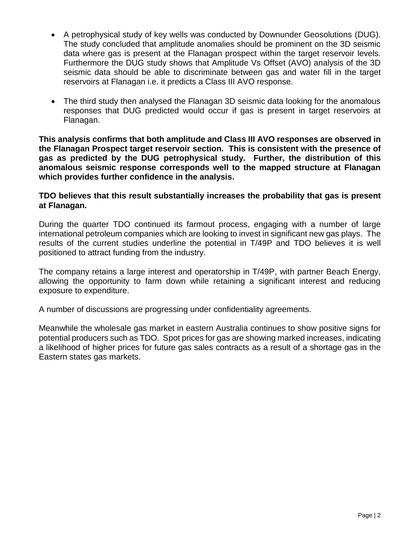- A petrophysical study of key wells was conducted by Downunder Geosolutions (DUG). The study concluded that amplitude anomalies should be prominent on the 3D seismic data where gas is present at the Flanagan prospect within the target reservoir levels. Furthermore the DUG study shows that Amplitude Vs Offset (AVO) analysis of the 3D seismic data should be able to discriminate between gas and water fill in the target reservoirs at Flanagan i.e. it predicts a Class III AVO response.
- The third study then analysed the Flanagan 3D seismic data looking for the anomalous responses that DUG predicted would occur if gas is present in target reservoirs at Flanagan.

**This analysis confirms that both amplitude and Class III AVO responses are observed in the Flanagan Prospect target reservoir section. This is consistent with the presence of gas as predicted by the DUG petrophysical study. Further, the distribution of this anomalous seismic response corresponds well to the mapped structure at Flanagan which provides further confidence in the analysis.**

### **TDO believes that this result substantially increases the probability that gas is present at Flanagan.**

During the quarter TDO continued its farmout process, engaging with a number of large international petroleum companies which are looking to invest in significant new gas plays. The results of the current studies underline the potential in T/49P and TDO believes it is well positioned to attract funding from the industry.

The company retains a large interest and operatorship in T/49P, with partner Beach Energy, allowing the opportunity to farm down while retaining a significant interest and reducing exposure to expenditure.

A number of discussions are progressing under confidentiality agreements.

Meanwhile the wholesale gas market in eastern Australia continues to show positive signs for potential producers such as TDO. Spot prices for gas are showing marked increases, indicating a likelihood of higher prices for future gas sales contracts as a result of a shortage gas in the Eastern states gas markets.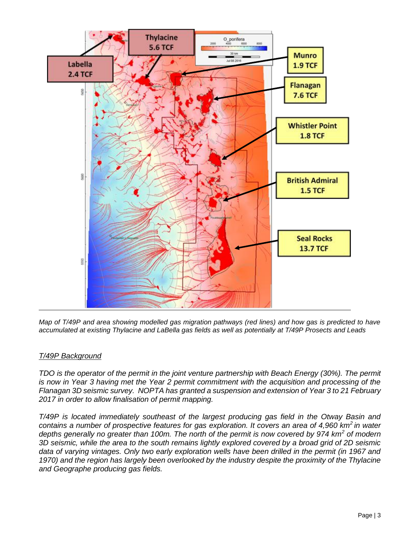

*Map of T/49P and area showing modelled gas migration pathways (red lines) and how gas is predicted to have accumulated at existing Thylacine and LaBella gas fields as well as potentially at T/49P Prosects and Leads*

#### *T/49P Background*

*TDO is the operator of the permit in the joint venture partnership with Beach Energy (30%). The permit is now in Year 3 having met the Year 2 permit commitment with the acquisition and processing of the Flanagan 3D seismic survey. NOPTA has granted a suspension and extension of Year 3 to 21 February 2017 in order to allow finalisation of permit mapping.*

*T/49P is located immediately southeast of the largest producing gas field in the Otway Basin and contains a number of prospective features for gas exploration. It covers an area of 4,960 km<sup>2</sup>in water depths generally no greater than 100m. The north of the permit is now covered by 974 km<sup>2</sup> of modern 3D seismic, while the area to the south remains lightly explored covered by a broad grid of 2D seismic data of varying vintages. Only two early exploration wells have been drilled in the permit (in 1967 and 1970) and the region has largely been overlooked by the industry despite the proximity of the Thylacine and Geographe producing gas fields.*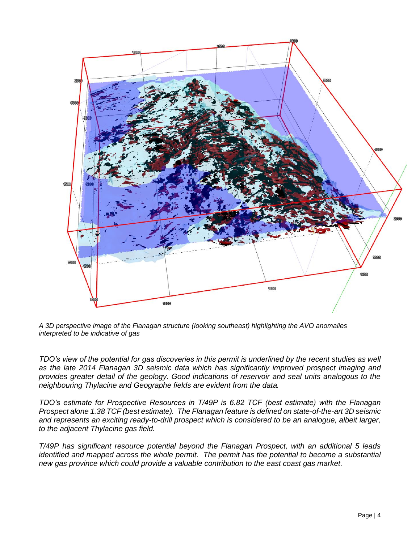

*A 3D perspective image of the Flanagan structure (looking southeast) highlighting the AVO anomalies interpreted to be indicative of gas* 

*TDO's view of the potential for gas discoveries in this permit is underlined by the recent studies as well as the late 2014 Flanagan 3D seismic data which has significantly improved prospect imaging and provides greater detail of the geology. Good indications of reservoir and seal units analogous to the neighbouring Thylacine and Geographe fields are evident from the data.* 

*TDO's estimate for Prospective Resources in T/49P is 6.82 TCF (best estimate) with the Flanagan Prospect alone 1.38 TCF (best estimate). The Flanagan feature is defined on state-of-the-art 3D seismic and represents an exciting ready-to-drill prospect which is considered to be an analogue, albeit larger, to the adjacent Thylacine gas field.*

*T/49P has significant resource potential beyond the Flanagan Prospect, with an additional 5 leads identified and mapped across the whole permit. The permit has the potential to become a substantial new gas province which could provide a valuable contribution to the east coast gas market.*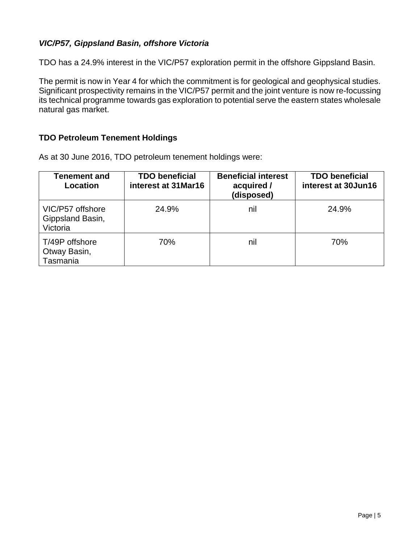### *VIC/P57, Gippsland Basin, offshore Victoria*

TDO has a 24.9% interest in the VIC/P57 exploration permit in the offshore Gippsland Basin.

The permit is now in Year 4 for which the commitment is for geological and geophysical studies. Significant prospectivity remains in the VIC/P57 permit and the joint venture is now re-focussing its technical programme towards gas exploration to potential serve the eastern states wholesale natural gas market.

### **TDO Petroleum Tenement Holdings**

As at 30 June 2016, TDO petroleum tenement holdings were:

| Tenement and<br>Location                         | <b>TDO beneficial</b><br>interest at 31 Mar16 | <b>Beneficial interest</b><br>acquired /<br>(disposed) | <b>TDO beneficial</b><br>interest at 30Jun16 |
|--------------------------------------------------|-----------------------------------------------|--------------------------------------------------------|----------------------------------------------|
| VIC/P57 offshore<br>Gippsland Basin,<br>Victoria | 24.9%                                         | nil                                                    | 24.9%                                        |
| T/49P offshore<br>Otway Basin,<br>Tasmania       | 70%                                           | nil                                                    | 70%                                          |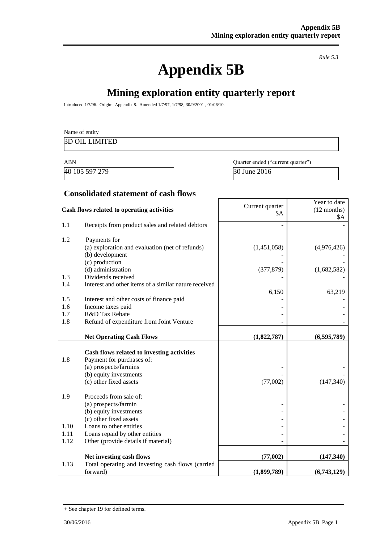# **Appendix 5B**

*Rule 5.3*

# **Mining exploration entity quarterly report**

Introduced 1/7/96. Origin: Appendix 8. Amended 1/7/97, 1/7/98, 30/9/2001 , 01/06/10.

|                      | Name of entity<br><b>3D OIL LIMITED</b>                                                                                                              |                                   |                                             |  |
|----------------------|------------------------------------------------------------------------------------------------------------------------------------------------------|-----------------------------------|---------------------------------------------|--|
| <b>ABN</b>           |                                                                                                                                                      | Quarter ended ("current quarter") |                                             |  |
|                      | 40 105 597 279                                                                                                                                       | 30 June 2016                      |                                             |  |
|                      | <b>Consolidated statement of cash flows</b>                                                                                                          |                                   |                                             |  |
|                      | Cash flows related to operating activities                                                                                                           | Current quarter<br>\$A            | Year to date<br>$(12$ months)<br><b>\$A</b> |  |
| 1.1                  | Receipts from product sales and related debtors                                                                                                      |                                   |                                             |  |
| 1.2                  | Payments for<br>(a) exploration and evaluation (net of refunds)<br>(b) development                                                                   | (1,451,058)                       | (4,976,426)                                 |  |
| 1.3                  | (c) production<br>(d) administration<br>Dividends received                                                                                           | (377, 879)                        | (1,682,582)                                 |  |
| 1.4<br>1.5           | Interest and other items of a similar nature received<br>Interest and other costs of finance paid                                                    | 6,150                             | 63,219                                      |  |
| 1.6<br>1.7           | Income taxes paid<br>R&D Tax Rebate                                                                                                                  |                                   |                                             |  |
| 1.8                  | Refund of expenditure from Joint Venture<br><b>Net Operating Cash Flows</b>                                                                          | (1,822,787)                       | (6,595,789)                                 |  |
| 1.8                  | Cash flows related to investing activities<br>Payment for purchases of:<br>(a) prospects/farmins<br>(b) equity investments<br>(c) other fixed assets | (77,002)                          | (147, 340)                                  |  |
| 1.9                  | Proceeds from sale of:<br>(a) prospects/farmin<br>(b) equity investments<br>(c) other fixed assets                                                   |                                   |                                             |  |
| 1.10<br>1.11<br>1.12 | Loans to other entities<br>Loans repaid by other entities<br>Other (provide details if material)                                                     |                                   |                                             |  |
| 1.13                 | Net investing cash flows<br>Total operating and investing cash flows (carried                                                                        | (77,002)                          | (147,340)                                   |  |
|                      | forward)                                                                                                                                             | (1,899,789)                       | (6,743,129)                                 |  |

<sup>+</sup> See chapter 19 for defined terms.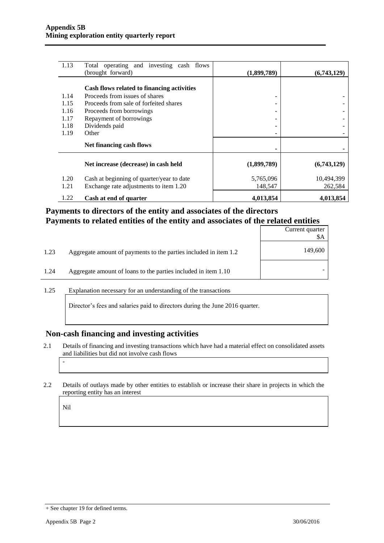| 1.13 | Total operating and investing cash flows<br>(brought forward) | (1,899,789) | (6,743,129) |
|------|---------------------------------------------------------------|-------------|-------------|
|      |                                                               |             |             |
|      | Cash flows related to financing activities                    |             |             |
| 1.14 | Proceeds from issues of shares                                |             |             |
| 1.15 | Proceeds from sale of forfeited shares                        |             |             |
| 1.16 | Proceeds from borrowings                                      |             |             |
| 1.17 | Repayment of borrowings                                       |             |             |
| 1.18 | Dividends paid                                                |             |             |
| 1.19 | Other                                                         |             |             |
|      | Net financing cash flows                                      |             |             |
|      | Net increase (decrease) in cash held                          | (1,899,789) | (6,743,129) |
| 1.20 | Cash at beginning of quarter/year to date                     | 5,765,096   | 10,494,399  |
| 1.21 | Exchange rate adjustments to item 1.20                        | 148,547     | 262,584     |
| 1.22 | Cash at end of quarter                                        | 4,013,854   | 4,013,854   |

### **Payments to directors of the entity and associates of the directors Payments to related entities of the entity and associates of the related entities**

|      |                                                                  | Current quarter<br>\$A |
|------|------------------------------------------------------------------|------------------------|
| 1.23 | Aggregate amount of payments to the parties included in item 1.2 | 149,600                |
| 1.24 | Aggregate amount of loans to the parties included in item 1.10   |                        |

1.25 Explanation necessary for an understanding of the transactions

Director's fees and salaries paid to directors during the June 2016 quarter.

#### **Non-cash financing and investing activities**

- 2.1 Details of financing and investing transactions which have had a material effect on consolidated assets and liabilities but did not involve cash flows
- 2.2 Details of outlays made by other entities to establish or increase their share in projects in which the reporting entity has an interest

Nil

-

<sup>+</sup> See chapter 19 for defined terms.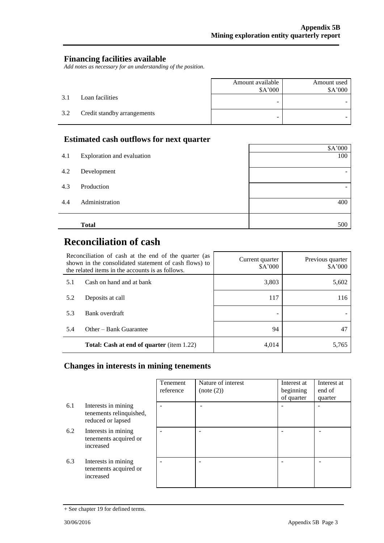$\mathbf{r}$ 

### **Financing facilities available**

*Add notes as necessary for an understanding of the position.*

|     |                             | Amount available<br>\$A'000 | Amount used<br>\$A'000 |
|-----|-----------------------------|-----------------------------|------------------------|
| 3.1 | Loan facilities             | -                           |                        |
| 3.2 | Credit standby arrangements | -                           |                        |

### **Estimated cash outflows for next quarter**

|     | <b>Total</b>               | 500     |
|-----|----------------------------|---------|
| 4.4 | Administration             | 400     |
| 4.3 | Production                 | -       |
| 4.2 | Development                |         |
| 4.1 | Exploration and evaluation | 100     |
|     |                            | \$A'000 |
|     | -                          |         |

# **Reconciliation of cash**

| Reconciliation of cash at the end of the quarter (as<br>shown in the consolidated statement of cash flows) to<br>the related items in the accounts is as follows. |                                                  | Current quarter<br>\$A'000 | Previous quarter<br>\$A'000 |
|-------------------------------------------------------------------------------------------------------------------------------------------------------------------|--------------------------------------------------|----------------------------|-----------------------------|
| 5.1                                                                                                                                                               | Cash on hand and at bank                         | 3,803                      | 5,602                       |
| 5.2                                                                                                                                                               | Deposits at call                                 | 117                        | 116                         |
| 5.3                                                                                                                                                               | Bank overdraft                                   |                            |                             |
| 5.4                                                                                                                                                               | Other – Bank Guarantee                           | 94                         |                             |
|                                                                                                                                                                   | <b>Total: Cash at end of quarter</b> (item 1.22) | 4,014                      | 5.765                       |

### **Changes in interests in mining tenements**

|     |                                                                     | Tenement<br>reference | Nature of interest<br>(note (2)) | Interest at<br>beginning<br>of quarter | Interest at<br>end of<br>quarter |
|-----|---------------------------------------------------------------------|-----------------------|----------------------------------|----------------------------------------|----------------------------------|
| 6.1 | Interests in mining<br>tenements relinquished,<br>reduced or lapsed |                       |                                  |                                        |                                  |
| 6.2 | Interests in mining<br>tenements acquired or<br>increased           |                       |                                  |                                        |                                  |
| 6.3 | Interests in mining<br>tenements acquired or<br>increased           |                       |                                  |                                        |                                  |

<sup>+</sup> See chapter 19 for defined terms.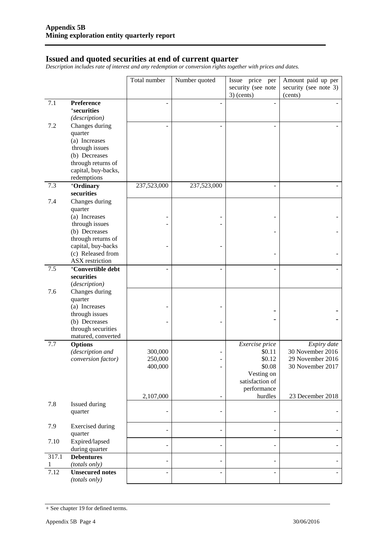#### **Issued and quoted securities at end of current quarter**

*Description includes rate of interest and any redemption or conversion rights together with prices and dates.*

|            |                                                                                                                                           | Total number                               | Number quoted  | Issue price per                                                                                         | Amount paid up per                                                                          |
|------------|-------------------------------------------------------------------------------------------------------------------------------------------|--------------------------------------------|----------------|---------------------------------------------------------------------------------------------------------|---------------------------------------------------------------------------------------------|
|            |                                                                                                                                           |                                            |                | security (see note<br>$3)$ (cents)                                                                      | security (see note 3)<br>(cents)                                                            |
| 7.1        | Preference<br><sup>+</sup> securities<br>(description)                                                                                    |                                            |                |                                                                                                         |                                                                                             |
| 7.2        | Changes during<br>quarter<br>(a) Increases<br>through issues<br>(b) Decreases<br>through returns of<br>capital, buy-backs,<br>redemptions |                                            |                | L.                                                                                                      |                                                                                             |
| 7.3        | +Ordinary<br>securities                                                                                                                   | 237,523,000                                | 237,523,000    |                                                                                                         |                                                                                             |
| 7.4        | Changes during<br>quarter<br>(a) Increases<br>through issues<br>(b) Decreases<br>through returns of<br>capital, buy-backs                 |                                            |                |                                                                                                         |                                                                                             |
|            | (c) Released from<br><b>ASX</b> restriction                                                                                               |                                            |                |                                                                                                         |                                                                                             |
| 7.5        | <sup>+</sup> Convertible debt<br>securities<br>(description)                                                                              |                                            | ä,             | L.                                                                                                      |                                                                                             |
| 7.6        | Changes during<br>quarter<br>(a) Increases<br>through issues<br>(b) Decreases<br>through securities<br>matured, converted                 |                                            |                |                                                                                                         |                                                                                             |
| 7.7        | <b>Options</b><br>(description and<br>conversion factor)                                                                                  | 300,000<br>250,000<br>400,000<br>2,107,000 |                | Exercise price<br>\$0.11<br>\$0.12<br>\$0.08<br>Vesting on<br>satisfaction of<br>performance<br>hurdles | Expiry date<br>30 November 2016<br>29 November 2016<br>30 November 2017<br>23 December 2018 |
| 7.8        | Issued during<br>quarter                                                                                                                  |                                            | $\overline{a}$ |                                                                                                         |                                                                                             |
| 7.9        | <b>Exercised</b> during<br>quarter                                                                                                        |                                            | $\overline{a}$ | $\overline{\phantom{0}}$                                                                                |                                                                                             |
| 7.10       | Expired/lapsed<br>during quarter                                                                                                          |                                            | $\overline{a}$ | $\overline{\phantom{0}}$                                                                                |                                                                                             |
| 317.1<br>1 | <b>Debentures</b><br>(totals only)                                                                                                        |                                            | -              | $\overline{a}$                                                                                          |                                                                                             |
| 7.12       | <b>Unsecured notes</b><br>(totals only)                                                                                                   |                                            | L,             | L.                                                                                                      |                                                                                             |

<sup>+</sup> See chapter 19 for defined terms.